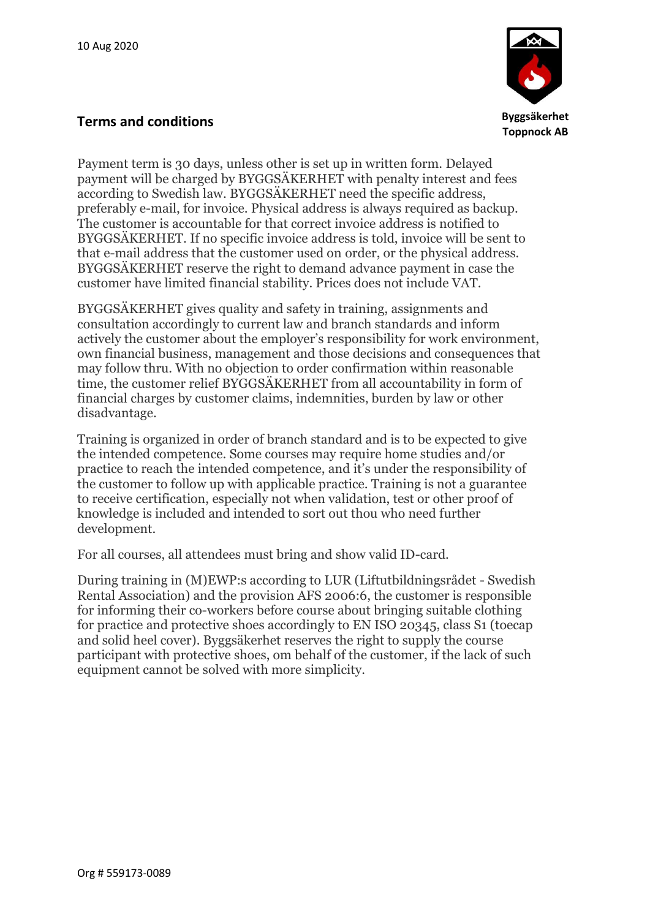

## **Terms and conditions**

Payment term is 30 days, unless other is set up in written form. Delayed payment will be charged by BYGGSÄKERHET with penalty interest and fees according to Swedish law. BYGGSÄKERHET need the specific address, preferably e-mail, for invoice. Physical address is always required as backup. The customer is accountable for that correct invoice address is notified to BYGGSÄKERHET. If no specific invoice address is told, invoice will be sent to that e-mail address that the customer used on order, or the physical address. BYGGSÄKERHET reserve the right to demand advance payment in case the customer have limited financial stability. Prices does not include VAT.

BYGGSÄKERHET gives quality and safety in training, assignments and consultation accordingly to current law and branch standards and inform actively the customer about the employer's responsibility for work environment, own financial business, management and those decisions and consequences that may follow thru. With no objection to order confirmation within reasonable time, the customer relief BYGGSÄKERHET from all accountability in form of financial charges by customer claims, indemnities, burden by law or other disadvantage.

Training is organized in order of branch standard and is to be expected to give the intended competence. Some courses may require home studies and/or practice to reach the intended competence, and it's under the responsibility of the customer to follow up with applicable practice. Training is not a guarantee to receive certification, especially not when validation, test or other proof of knowledge is included and intended to sort out thou who need further development.

For all courses, all attendees must bring and show valid ID-card.

During training in (M)EWP:s according to LUR (Liftutbildningsrådet - Swedish Rental Association) and the provision AFS 2006:6, the customer is responsible for informing their co-workers before course about bringing suitable clothing for practice and protective shoes accordingly to EN ISO 20345, class S1 (toecap and solid heel cover). Byggsäkerhet reserves the right to supply the course participant with protective shoes, om behalf of the customer, if the lack of such equipment cannot be solved with more simplicity.